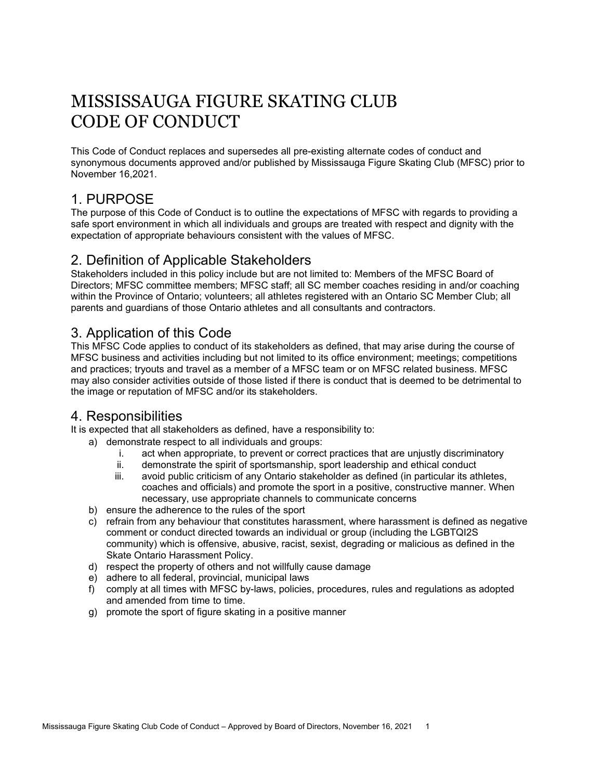# MISSISSAUGA FIGURE SKATING CLUB CODE OF CONDUCT

This Code of Conduct replaces and supersedes all pre-existing alternate codes of conduct and synonymous documents approved and/or published by Mississauga Figure Skating Club (MFSC) prior to November 16,2021.

## 1. PURPOSE

The purpose of this Code of Conduct is to outline the expectations of MFSC with regards to providing a safe sport environment in which all individuals and groups are treated with respect and dignity with the expectation of appropriate behaviours consistent with the values of MFSC.

#### 2. Definition of Applicable Stakeholders

Stakeholders included in this policy include but are not limited to: Members of the MFSC Board of Directors; MFSC committee members; MFSC staff; all SC member coaches residing in and/or coaching within the Province of Ontario; volunteers; all athletes registered with an Ontario SC Member Club; all parents and guardians of those Ontario athletes and all consultants and contractors.

#### 3. Application of this Code

This MFSC Code applies to conduct of its stakeholders as defined, that may arise during the course of MFSC business and activities including but not limited to its office environment; meetings; competitions and practices; tryouts and travel as a member of a MFSC team or on MFSC related business. MFSC may also consider activities outside of those listed if there is conduct that is deemed to be detrimental to the image or reputation of MFSC and/or its stakeholders.

## 4. Responsibilities

It is expected that all stakeholders as defined, have a responsibility to:

- a) demonstrate respect to all individuals and groups:
	- i. act when appropriate, to prevent or correct practices that are unjustly discriminatory
	- ii. demonstrate the spirit of sportsmanship, sport leadership and ethical conduct
	- iii. avoid public criticism of any Ontario stakeholder as defined (in particular its athletes, coaches and officials) and promote the sport in a positive, constructive manner. When necessary, use appropriate channels to communicate concerns
- b) ensure the adherence to the rules of the sport
- c) refrain from any behaviour that constitutes harassment, where harassment is defined as negative comment or conduct directed towards an individual or group (including the LGBTQI2S community) which is offensive, abusive, racist, sexist, degrading or malicious as defined in the Skate Ontario Harassment Policy.
- d) respect the property of others and not willfully cause damage
- e) adhere to all federal, provincial, municipal laws
- f) comply at all times with MFSC by-laws, policies, procedures, rules and regulations as adopted and amended from time to time.
- g) promote the sport of figure skating in a positive manner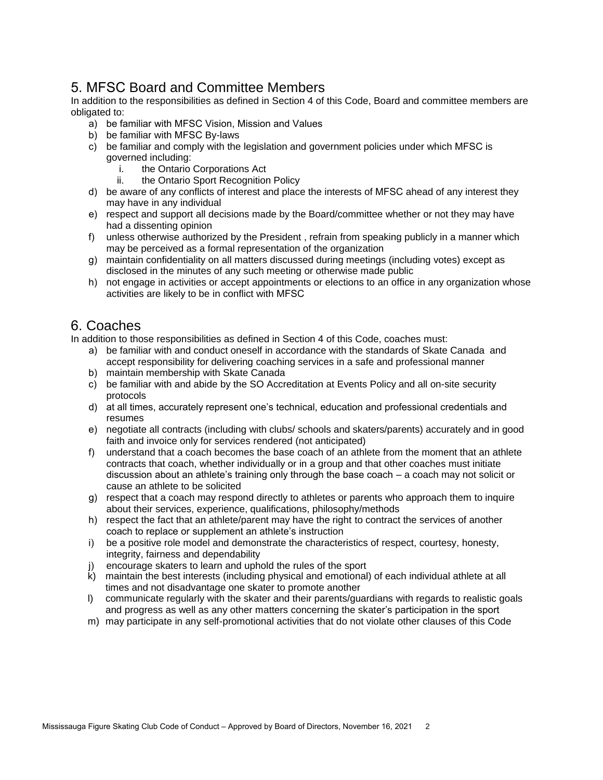## 5. MFSC Board and Committee Members

In addition to the responsibilities as defined in Section 4 of this Code, Board and committee members are obligated to:

- a) be familiar with MFSC Vision, Mission and Values
- b) be familiar with MFSC By-laws
- c) be familiar and comply with the legislation and government policies under which MFSC is governed including:
	- i. the Ontario Corporations Act
	- ii. the Ontario Sport Recognition Policy
- d) be aware of any conflicts of interest and place the interests of MFSC ahead of any interest they may have in any individual
- e) respect and support all decisions made by the Board/committee whether or not they may have had a dissenting opinion
- f) unless otherwise authorized by the President , refrain from speaking publicly in a manner which may be perceived as a formal representation of the organization
- g) maintain confidentiality on all matters discussed during meetings (including votes) except as disclosed in the minutes of any such meeting or otherwise made public
- h) not engage in activities or accept appointments or elections to an office in any organization whose activities are likely to be in conflict with MFSC

#### 6. Coaches

In addition to those responsibilities as defined in Section 4 of this Code, coaches must:

- a) be familiar with and conduct oneself in accordance with the standards of Skate Canada and accept responsibility for delivering coaching services in a safe and professional manner
- b) maintain membership with Skate Canada
- c) be familiar with and abide by the SO Accreditation at Events Policy and all on-site security protocols
- d) at all times, accurately represent one's technical, education and professional credentials and resumes
- e) negotiate all contracts (including with clubs/ schools and skaters/parents) accurately and in good faith and invoice only for services rendered (not anticipated)
- f) understand that a coach becomes the base coach of an athlete from the moment that an athlete contracts that coach, whether individually or in a group and that other coaches must initiate discussion about an athlete's training only through the base coach – a coach may not solicit or cause an athlete to be solicited
- g) respect that a coach may respond directly to athletes or parents who approach them to inquire about their services, experience, qualifications, philosophy/methods
- h) respect the fact that an athlete/parent may have the right to contract the services of another coach to replace or supplement an athlete's instruction
- i) be a positive role model and demonstrate the characteristics of respect, courtesy, honesty, integrity, fairness and dependability
- j) encourage skaters to learn and uphold the rules of the sport
- k) maintain the best interests (including physical and emotional) of each individual athlete at all times and not disadvantage one skater to promote another
- l) communicate regularly with the skater and their parents/guardians with regards to realistic goals and progress as well as any other matters concerning the skater's participation in the sport
- m) may participate in any self-promotional activities that do not violate other clauses of this Code